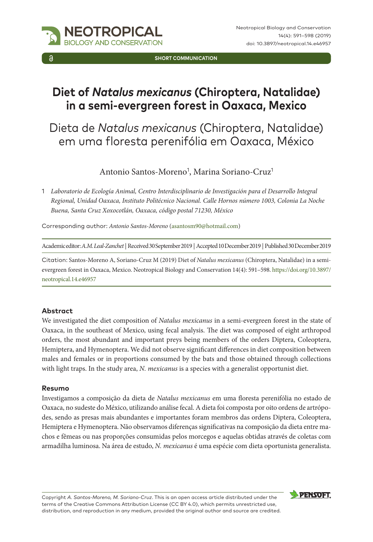

**SHORT COMMUNICATION**

# **Diet of** *Natalus mexicanus* **(Chiroptera, Natalidae) in a semi-evergreen forest in Oaxaca, Mexico**

# Dieta de *Natalus mexicanus* (Chiroptera, Natalidae) em uma floresta perenifólia em Oaxaca, México

Antonio Santos-Moreno<sup>1</sup>, Marina Soriano-Cruz<sup>1</sup>

1 *Laboratorio de Ecología Animal, Centro Interdisciplinario de Investigación para el Desarrollo Integral Regional, Unidad Oaxaca, Instituto Politécnico Nacional. Calle Hornos número 1003, Colonia La Noche Buena, Santa Cruz Xoxocotlán, Oaxaca, código postal 71230, México*

Corresponding author: *Antonio Santos-Moreno* [\(asantosm90@hotmail.com\)](mailto:asantosm90@hotmail.com)

Academic editor: *A.M. Leal-Zanchet* | Received 30 September 2019 | Accepted 10 December 2019 | Published 30 December 2019

Citation: Santos-Moreno A, Soriano-Cruz M (2019) Diet of *Natalus mexicanus* (Chiroptera, Natalidae) in a semievergreen forest in Oaxaca, Mexico. Neotropical Biology and Conservation 14(4): 591–598. [https://doi.org/10.3897/](https://doi.org/10.3897/neotropical.14.e46957) [neotropical.14.e46957](https://doi.org/10.3897/neotropical.14.e46957)

### **Abstract**

We investigated the diet composition of *Natalus mexicanus* in a semi-evergreen forest in the state of Oaxaca, in the southeast of Mexico, using fecal analysis. The diet was composed of eight arthropod orders, the most abundant and important preys being members of the orders Diptera, Coleoptera, Hemiptera, and Hymenoptera. We did not observe significant differences in diet composition between males and females or in proportions consumed by the bats and those obtained through collections with light traps. In the study area, *N. mexicanus* is a species with a generalist opportunist diet.

### **Resumo**

Investigamos a composição da dieta de *Natalus mexicanus* em uma floresta perenifólia no estado de Oaxaca, no sudeste do México, utilizando análise fecal. A dieta foi composta por oito ordens de artrópodes, sendo as presas mais abundantes e importantes foram membros das ordens Diptera, Coleoptera, Hemiptera e Hymenoptera. Não observamos diferenças significativas na composição da dieta entre machos e fêmeas ou nas proporções consumidas pelos morcegos e aquelas obtidas através de coletas com armadilha luminosa. Na área de estudo, *N. mexicanus* é uma espécie com dieta oportunista generalista.

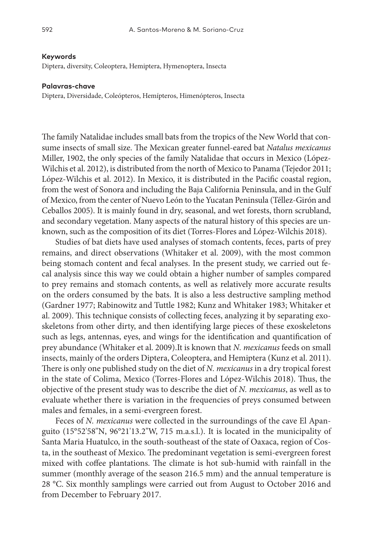#### **Keywords**

Diptera, diversity, Coleoptera, Hemiptera, Hymenoptera, Insecta

#### **Palavras-chave**

Diptera, Diversidade, Coleópteros, Hemípteros, Himenópteros, Insecta

The family Natalidae includes small bats from the tropics of the New World that consume insects of small size. The Mexican greater funnel-eared bat *Natalus mexicanus* Miller, 1902, the only species of the family Natalidae that occurs in Mexico (López-Wilchis et al. 2012), is distributed from the north of Mexico to Panama (Tejedor 2011; López-Wilchis et al. 2012). In Mexico, it is distributed in the Pacific coastal region, from the west of Sonora and including the Baja California Peninsula, and in the Gulf of Mexico, from the center of Nuevo León to the Yucatan Peninsula (Téllez-Girón and Ceballos 2005). It is mainly found in dry, seasonal, and wet forests, thorn scrubland, and secondary vegetation. Many aspects of the natural history of this species are unknown, such as the composition of its diet (Torres-Flores and López-Wilchis 2018).

Studies of bat diets have used analyses of stomach contents, feces, parts of prey remains, and direct observations (Whitaker et al. 2009), with the most common being stomach content and fecal analyses. In the present study, we carried out fecal analysis since this way we could obtain a higher number of samples compared to prey remains and stomach contents, as well as relatively more accurate results on the orders consumed by the bats. It is also a less destructive sampling method (Gardner 1977; Rabinowitz and Tuttle 1982; Kunz and Whitaker 1983; Whitaker et al. 2009). This technique consists of collecting feces, analyzing it by separating exoskeletons from other dirty, and then identifying large pieces of these exoskeletons such as legs, antennas, eyes, and wings for the identification and quantification of prey abundance (Whitaker et al. 2009).It is known that *N. mexicanus* feeds on small insects, mainly of the orders Diptera, Coleoptera, and Hemiptera (Kunz et al. 2011). There is only one published study on the diet of *N. mexicanus* in a dry tropical forest in the state of Colima, Mexico (Torres-Flores and López-Wilchis 2018). Thus, the objective of the present study was to describe the diet of *N. mexicanus*, as well as to evaluate whether there is variation in the frequencies of preys consumed between males and females, in a semi-evergreen forest.

Feces of *N. mexicanus* were collected in the surroundings of the cave El Apanguito (15°52'58"N, 96°21'13.2"W, 715 m.a.s.l.). It is located in the municipality of Santa Maria Huatulco, in the south-southeast of the state of Oaxaca, region of Costa, in the southeast of Mexico. The predominant vegetation is semi-evergreen forest mixed with coffee plantations. The climate is hot sub-humid with rainfall in the summer (monthly average of the season 216.5 mm) and the annual temperature is 28 °C. Six monthly samplings were carried out from August to October 2016 and from December to February 2017.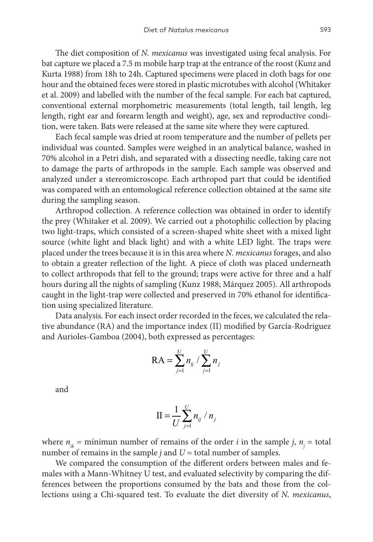The diet composition of *N. mexicanus* was investigated using fecal analysis. For bat capture we placed a 7.5 m mobile harp trap at the entrance of the roost (Kunz and Kurta 1988) from 18h to 24h. Captured specimens were placed in cloth bags for one hour and the obtained feces were stored in plastic microtubes with alcohol (Whitaker et al. 2009) and labelled with the number of the fecal sample. For each bat captured, conventional external morphometric measurements (total length, tail length, leg length, right ear and forearm length and weight), age, sex and reproductive condition, were taken. Bats were released at the same site where they were captured.

Each fecal sample was dried at room temperature and the number of pellets per individual was counted. Samples were weighed in an analytical balance, washed in 70% alcohol in a Petri dish, and separated with a dissecting needle, taking care not to damage the parts of arthropods in the sample. Each sample was observed and analyzed under a stereomicroscope. Each arthropod part that could be identified was compared with an entomological reference collection obtained at the same site during the sampling season.

Arthropod collection. A reference collection was obtained in order to identify the prey (Whitaker et al. 2009). We carried out a photophilic collection by placing two light-traps, which consisted of a screen-shaped white sheet with a mixed light source (white light and black light) and with a white LED light. The traps were placed under the trees because it is in this area where *N. mexicanus* forages, and also to obtain a greater reflection of the light. A piece of cloth was placed underneath to collect arthropods that fell to the ground; traps were active for three and a half hours during all the nights of sampling (Kunz 1988; Márquez 2005). All arthropods caught in the light-trap were collected and preserved in 70% ethanol for identification using specialized literature.

Data analysis. For each insect order recorded in the feces, we calculated the relative abundance (RA) and the importance index (II) modified by García-Rodriguez and Aurioles-Gamboa (2004), both expressed as percentages:

$$
\text{RA} = \sum_{j=1}^{U} n_{ij} / \sum_{j=1}^{U} n_j
$$

and

$$
\mathbf{II} = \frac{1}{U} \sum_{j=1}^{U} n_{ij} / n_j
$$

where  $n_{ik}$  = mínimun number of remains of the order *i* in the sample *j*,  $n_j$  = total number of remains in the sample  $j$  and  $U =$  total number of samples.

We compared the consumption of the different orders between males and females with a Mann-Whitney U test, and evaluated selectivity by comparing the differences between the proportions consumed by the bats and those from the collections using a Chi-squared test. To evaluate the diet diversity of *N. mexicanus*,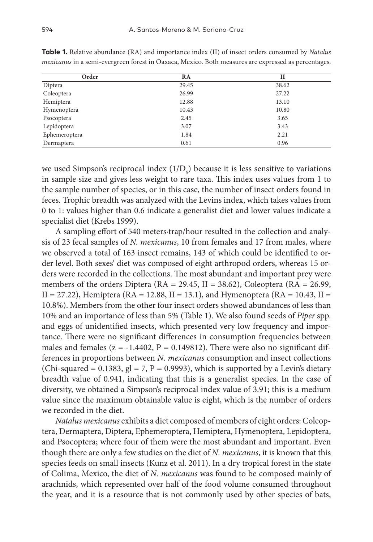| Order         | RA    | п     |
|---------------|-------|-------|
| Diptera       | 29.45 | 38.62 |
| Coleoptera    | 26.99 | 27.22 |
| Hemiptera     | 12.88 | 13.10 |
| Hymenoptera   | 10.43 | 10.80 |
| Psocoptera    | 2.45  | 3.65  |
| Lepidoptera   | 3.07  | 3.43  |
| Ephemeroptera | 1.84  | 2.21  |
| Dermaptera    | 0.61  | 0.96  |

**Table 1.** Relative abundance (RA) and importance index (II) of insect orders consumed by *Natalus mexicanus* in a semi-evergreen forest in Oaxaca, Mexico. Both measures are expressed as percentages.

we used Simpson's reciprocal index  $(1/D_s)$  because it is less sensitive to variations in sample size and gives less weight to rare taxa. This index uses values from 1 to the sample number of species, or in this case, the number of insect orders found in feces. Trophic breadth was analyzed with the Levins index, which takes values from 0 to 1: values higher than 0.6 indicate a generalist diet and lower values indicate a specialist diet (Krebs 1999).

A sampling effort of 540 meters∙trap/hour resulted in the collection and analysis of 23 fecal samples of *N. mexicanus*, 10 from females and 17 from males, where we observed a total of 163 insect remains, 143 of which could be identified to order level. Both sexes' diet was composed of eight arthropod orders, whereas 15 orders were recorded in the collections. The most abundant and important prey were members of the orders Diptera ( $RA = 29.45$ ,  $II = 38.62$ ), Coleoptera ( $RA = 26.99$ ,  $II = 27.22$ ), Hemiptera (RA = 12.88, II = 13.1), and Hymenoptera (RA = 10.43, II = 10.8%). Members from the other four insect orders showed abundances of less than 10% and an importance of less than 5% (Table 1). We also found seeds of *Piper* spp. and eggs of unidentified insects, which presented very low frequency and importance. There were no significant differences in consumption frequencies between males and females ( $z = -1.4402$ ,  $P = 0.149812$ ). There were also no significant differences in proportions between *N. mexicanus* consumption and insect collections (Chi-squared = 0.1383, gl = 7, P = 0.9993), which is supported by a Levin's dietary breadth value of 0.941, indicating that this is a generalist species. In the case of diversity, we obtained a Simpson's reciprocal index value of 3.91; this is a medium value since the maximum obtainable value is eight, which is the number of orders we recorded in the diet.

*Natalus mexicanus* exhibits a diet composed of members of eight orders: Coleoptera, Dermaptera, Diptera, Ephemeroptera, Hemiptera, Hymenoptera, Lepidoptera, and Psocoptera; where four of them were the most abundant and important. Even though there are only a few studies on the diet of *N. mexicanus*, it is known that this species feeds on small insects (Kunz et al. 2011). In a dry tropical forest in the state of Colima, Mexico, the diet of *N. mexicanus* was found to be composed mainly of arachnids, which represented over half of the food volume consumed throughout the year, and it is a resource that is not commonly used by other species of bats,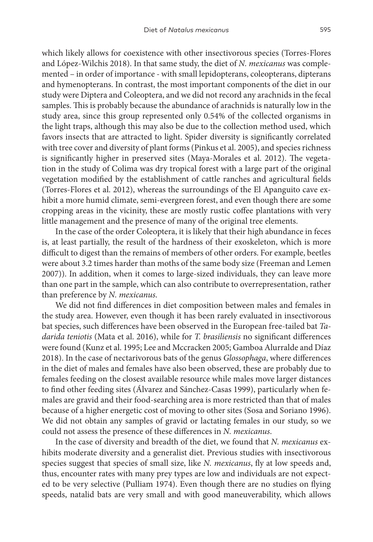which likely allows for coexistence with other insectivorous species (Torres-Flores and López-Wilchis 2018). In that same study, the diet of *N. mexicanus* was complemented – in order of importance - with small lepidopterans, coleopterans, dipterans and hymenopterans. In contrast, the most important components of the diet in our study were Diptera and Coleoptera, and we did not record any arachnids in the fecal samples. This is probably because the abundance of arachnids is naturally low in the study area, since this group represented only 0.54% of the collected organisms in the light traps, although this may also be due to the collection method used, which favors insects that are attracted to light. Spider diversity is significantly correlated with tree cover and diversity of plant forms (Pinkus et al. 2005), and species richness is significantly higher in preserved sites (Maya-Morales et al. 2012). The vegetation in the study of Colima was dry tropical forest with a large part of the original vegetation modified by the establishment of cattle ranches and agricultural fields (Torres-Flores et al. 2012), whereas the surroundings of the El Apanguito cave exhibit a more humid climate, semi-evergreen forest, and even though there are some cropping areas in the vicinity, these are mostly rustic coffee plantations with very little management and the presence of many of the original tree elements.

In the case of the order Coleoptera, it is likely that their high abundance in feces is, at least partially, the result of the hardness of their exoskeleton, which is more difficult to digest than the remains of members of other orders. For example, beetles were about 3.2 times harder than moths of the same body size (Freeman and Lemen 2007)). In addition, when it comes to large-sized individuals, they can leave more than one part in the sample, which can also contribute to overrepresentation, rather than preference by *N. mexicanus*.

We did not find differences in diet composition between males and females in the study area. However, even though it has been rarely evaluated in insectivorous bat species, such differences have been observed in the European free-tailed bat *Tadarida teniotis* (Mata et al. 2016), while for *T. brasiliensis* no significant differences were found (Kunz et al. 1995; Lee and Mccracken 2005; Gamboa Alurralde and Díaz 2018). In the case of nectarivorous bats of the genus *Glossophaga*, where differences in the diet of males and females have also been observed, these are probably due to females feeding on the closest available resource while males move larger distances to find other feeding sites (Álvarez and Sánchez-Casas 1999), particularly when females are gravid and their food-searching area is more restricted than that of males because of a higher energetic cost of moving to other sites (Sosa and Soriano 1996). We did not obtain any samples of gravid or lactating females in our study, so we could not assess the presence of these differences in *N. mexicanus*.

In the case of diversity and breadth of the diet, we found that *N. mexicanus* exhibits moderate diversity and a generalist diet. Previous studies with insectivorous species suggest that species of small size, like *N. mexicanus*, fly at low speeds and, thus, encounter rates with many prey types are low and individuals are not expected to be very selective (Pulliam 1974). Even though there are no studies on flying speeds, natalid bats are very small and with good maneuverability, which allows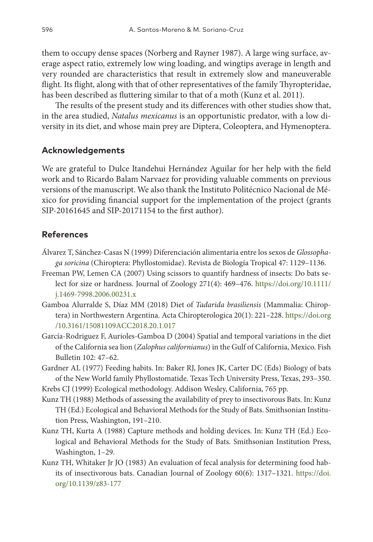them to occupy dense spaces (Norberg and Rayner 1987). A large wing surface, average aspect ratio, extremely low wing loading, and wingtips average in length and very rounded are characteristics that result in extremely slow and maneuverable flight. Its flight, along with that of other representatives of the family Thyropteridae, has been described as fluttering similar to that of a moth (Kunz et al. 2011).

The results of the present study and its differences with other studies show that, in the area studied, *Natalus mexicanus* is an opportunistic predator, with a low diversity in its diet, and whose main prey are Diptera, Coleoptera, and Hymenoptera.

## **Acknowledgements**

We are grateful to Dulce Itandehui Hernández Aguilar for her help with the field work and to Ricardo Balam Narvaez for providing valuable comments on previous versions of the manuscript. We also thank the Instituto Politécnico Nacional de México for providing financial support for the implementation of the project (grants SIP-20161645 and SIP-20171154 to the first author).

## **References**

- Álvarez T, Sánchez-Casas N (1999) Diferenciación alimentaria entre los sexos de *Glossophaga soricina* (Chiroptera: Phyllostomidae). Revista de Biología Tropical 47: 1129–1136.
- Freeman PW, Lemen CA (2007) Using scissors to quantify hardness of insects: Do bats select for size or hardness. Journal of Zoology 271(4): 469–476. [https://doi.org/10.1111/](https://doi.org/10.1111/j.1469-7998.2006.00231.x) [j.1469-7998.2006.00231.x](https://doi.org/10.1111/j.1469-7998.2006.00231.x)
- Gamboa Alurralde S, Díaz MM (2018) Diet of *Tadarida brasiliensis* (Mammalia: Chiroptera) in Northwestern Argentina. Acta Chiropterologica 20(1): 221–228. [https://doi.org](https://doi.org/10.3161/15081109ACC2018.20.1.017) [/10.3161/15081109ACC2018.20.1.017](https://doi.org/10.3161/15081109ACC2018.20.1.017)
- García-Rodriguez F, Aurioles-Gamboa D (2004) Spatial and temporal variations in the diet of the California sea lion (*Zalophus californianus*) in the Gulf of California, Mexico. Fish Bulletin 102: 47–62.
- Gardner AL (1977) Feeding habits. In: Baker RJ, Jones JK, Carter DC (Eds) Biology of bats of the New World family Phyllostomatide. Texas Tech University Press, Texas, 293–350.
- Krebs CJ (1999) Ecological methodology. Addison Wesley, California, 765 pp.
- Kunz TH (1988) Methods of assessing the availability of prey to insectivorous Bats. In: Kunz TH (Ed.) Ecological and Behavioral Methods for the Study of Bats. Smithsonian Institution Press, Washington, 191–210.
- Kunz TH, Kurta A (1988) Capture methods and holding devices. In: Kunz TH (Ed.) Ecological and Behavioral Methods for the Study of Bats. Smithsonian Institution Press, Washington, 1–29.
- Kunz TH, Whitaker Jr JO (1983) An evaluation of fecal analysis for determining food habits of insectivorous bats. Canadian Journal of Zoology 60(6): 1317–1321. [https://doi.](https://doi.org/10.1139/z83-177) [org/10.1139/z83-177](https://doi.org/10.1139/z83-177)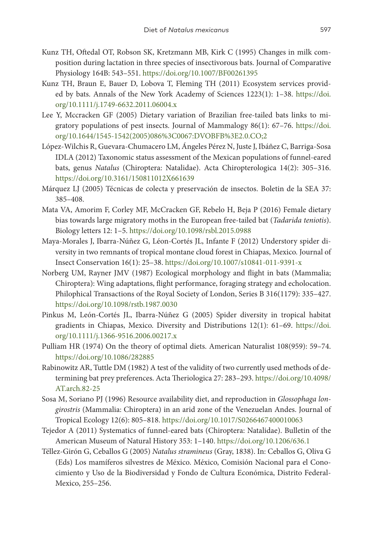- Kunz TH, Oftedal OT, Robson SK, Kretzmann MB, Kirk C (1995) Changes in milk composition during lactation in three species of insectivorous bats. Journal of Comparative Physiology 164B: 543–551. <https://doi.org/10.1007/BF00261395>
- Kunz TH, Braun E, Bauer D, Lobova T, Fleming TH (2011) Ecosystem services provided by bats. Annals of the New York Academy of Sciences 1223(1): 1–38. [https://doi.](https://doi.org/10.1111/j.1749-6632.2011.06004.x) [org/10.1111/j.1749-6632.2011.06004.x](https://doi.org/10.1111/j.1749-6632.2011.06004.x)
- Lee Y, Mccracken GF (2005) Dietary variation of Brazilian free-tailed bats links to migratory populations of pest insects. Journal of Mammalogy 86(1): 67–76. [https://doi.](https://doi.org/10.1644/1545-1542(2005)086%3C0067:DVOBFB%3E2.0.CO;2) [org/10.1644/1545-1542\(2005\)086%3C0067:DVOBFB%3E2.0.CO;2](https://doi.org/10.1644/1545-1542(2005)086%3C0067:DVOBFB%3E2.0.CO;2)
- López-Wilchis R, Guevara-Chumacero LM, Ángeles Pérez N, Juste J, Ibáñez C, Barriga-Sosa IDLA (2012) Taxonomic status assessment of the Mexican populations of funnel-eared bats, genus *Natalus* (Chiroptera: Natalidae). Acta Chiropterologica 14(2): 305–316. <https://doi.org/10.3161/150811012X661639>
- Márquez LJ (2005) Técnicas de colecta y preservación de insectos. Boletin de la SEA 37: 385–408.
- Mata VA, Amorim F, Corley MF, McCracken GF, Rebelo H, Beja P (2016) Female dietary bias towards large migratory moths in the European free-tailed bat (*Tadarida teniotis*). Biology letters 12: 1–5.<https://doi.org/10.1098/rsbl.2015.0988>
- Maya-Morales J, Ibarra-Núñez G, Léon-Cortés JL, Infante F (2012) Understory spider diversity in two remnants of tropical montane cloud forest in Chiapas, Mexico. Journal of Insect Conservation 16(1): 25–38.<https://doi.org/10.1007/s10841-011-9391-x>
- Norberg UM, Rayner JMV (1987) Ecological morphology and flight in bats (Mammalia; Chiroptera): Wing adaptations, flight performance, foraging strategy and echolocation. Philophical Transactions of the Royal Society of London, Series B 316(1179): 335–427. <https://doi.org/10.1098/rstb.1987.0030>
- Pinkus M, León-Cortés JL, Ibarra-Núñez G (2005) Spider diversity in tropical habitat gradients in Chiapas, Mexico. Diversity and Distributions 12(1): 61–69. [https://doi.](https://doi.org/10.1111/j.1366-9516.2006.00217.x) [org/10.1111/j.1366-9516.2006.00217.x](https://doi.org/10.1111/j.1366-9516.2006.00217.x)
- Pulliam HR (1974) On the theory of optimal diets. American Naturalist 108(959): 59–74. <https://doi.org/10.1086/282885>
- Rabinowitz AR, Tuttle DM (1982) A test of the validity of two currently used methods of determining bat prey preferences. Acta Theriologica 27: 283–293. [https://doi.org/10.4098/](https://doi.org/10.4098/AT.arch.82-25) [AT.arch.82-25](https://doi.org/10.4098/AT.arch.82-25)
- Sosa M, Soriano PJ (1996) Resource availability diet, and reproduction in *Glossophaga longirostris* (Mammalia: Chiroptera) in an arid zone of the Venezuelan Andes. Journal of Tropical Ecology 12(6): 805–818.<https://doi.org/10.1017/S0266467400010063>
- Tejedor A (2011) Systematics of funnel-eared bats (Chiroptera: Natalidae). Bulletin of the American Museum of Natural History 353: 1–140.<https://doi.org/10.1206/636.1>
- Téllez-Girón G, Ceballos G (2005) *Natalus stramineus* (Gray, 1838). In: Ceballos G, Oliva G (Eds) Los mamíferos silvestres de México. México, Comisión Nacional para el Conocimiento y Uso de la Biodiversidad y Fondo de Cultura Económica, Distrito Federal-Mexico, 255–256.